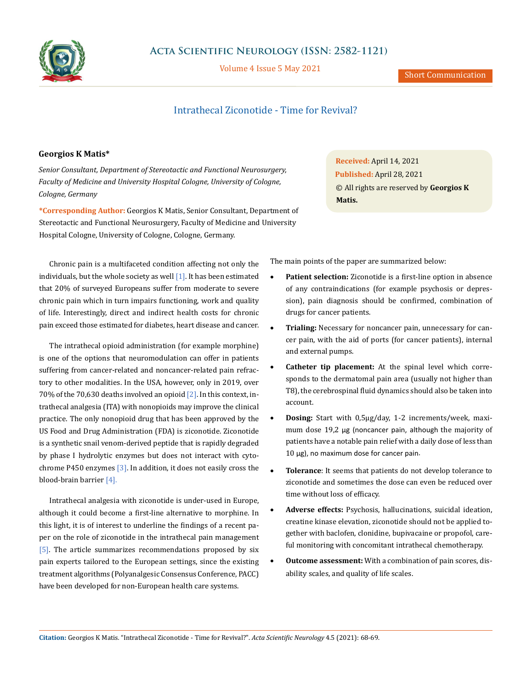

Volume 4 Issue 5 May 2021

## Intrathecal Ziconotide - Time for Revival?

## **Georgios K Matis\***

*Senior Consultant, Department of Stereotactic and Functional Neurosurgery, Faculty of Medicine and University Hospital Cologne, University of Cologne, Cologne, Germany*

**\*Corresponding Author:** Georgios K Matis, Senior Consultant, Department of Stereotactic and Functional Neurosurgery, Faculty of Medicine and University Hospital Cologne, University of Cologne, Cologne, Germany.

Chronic pain is a multifaceted condition affecting not only the individuals, but the whole society as well  $[1]$ . It has been estimated that 20% of surveyed Europeans suffer from moderate to severe chronic pain which in turn impairs functioning, work and quality of life. Interestingly, direct and indirect health costs for chronic pain exceed those estimated for diabetes, heart disease and cancer.

The intrathecal opioid administration (for example morphine) is one of the options that neuromodulation can offer in patients suffering from cancer-related and noncancer-related pain refractory to other modalities. In the USA, however, only in 2019, over 70% of the 70,630 deaths involved an opioid [2]. In this context, intrathecal analgesia (ITA) with nonopioids may improve the clinical practice. The only nonopioid drug that has been approved by the US Food and Drug Administration (FDA) is ziconotide. Ziconotide is a synthetic snail venom-derived peptide that is rapidly degraded by phase I hydrolytic enzymes but does not interact with cytochrome P450 enzymes  $[3]$ . In addition, it does not easily cross the blood-brain barrier [4].

Intrathecal analgesia with ziconotide is under-used in Europe, although it could become a first-line alternative to morphine. In this light, it is of interest to underline the findings of a recent paper on the role of ziconotide in the intrathecal pain management [5]. The article summarizes recommendations proposed by six pain experts tailored to the European settings, since the existing treatment algorithms (Polyanalgesic Consensus Conference, PACC) have been developed for non-European health care systems.

**Received:** April 14, 2021 **Published:** April 28, 2021 © All rights are reserved by **Georgios K Matis.**

The main points of the paper are summarized below:

- Patient selection: Ziconotide is a first-line option in absence of any contraindications (for example psychosis or depression), pain diagnosis should be confirmed, combination of drugs for cancer patients.
- **Trialing:** Necessary for noncancer pain, unnecessary for cancer pain, with the aid of ports (for cancer patients), internal and external pumps.
- **Catheter tip placement:** At the spinal level which corresponds to the dermatomal pain area (usually not higher than T8), the cerebrospinal fluid dynamics should also be taken into account.
- • **Dosing:** Start with 0,5µg/day, 1-2 increments/week, maximum dose 19,2 µg (noncancer pain, although the majority of patients have a notable pain relief with a daily dose of less than 10 µg), no maximum dose for cancer pain.
- **Tolerance**: It seems that patients do not develop tolerance to ziconotide and sometimes the dose can even be reduced over time without loss of efficacy.
- Adverse effects: Psychosis, hallucinations, suicidal ideation, creatine kinase elevation, ziconotide should not be applied together with baclofen, clonidine, bupivacaine or propofol, careful monitoring with concomitant intrathecal chemotherapy.
- **Outcome assessment:** With a combination of pain scores, disability scales, and quality of life scales.